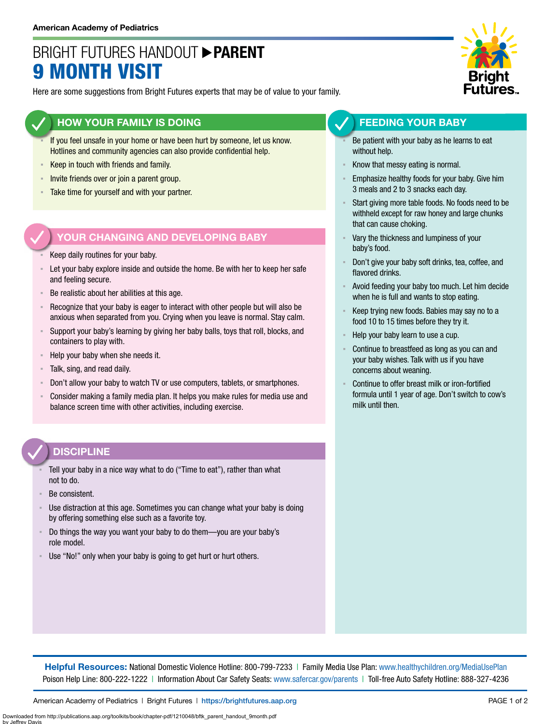## BRIGHT FUTURES HANDOUT **PARENT** 9 MONTH VISIT

Here are some suggestions from Bright Futures experts that may be of value to your family.

### **HOW YOUR FAMILY IS DOING**

- If you feel unsafe in your home or have been hurt by someone, let us know. Hotlines and community agencies can also provide confidential help.
- **EXECT** in touch with friends and family.
- **EXECT** Invite friends over or join a parent group.
- Take time for yourself and with your partner.

### **YOUR CHANGING AND DEVELOPING BABY**

- Keep daily routines for your baby.
- Let your baby explore inside and outside the home. Be with her to keep her safe and feeling secure.
- Be realistic about her abilities at this age.
- Recognize that your baby is eager to interact with other people but will also be anxious when separated from you. Crying when you leave is normal. Stay calm.
- Support your baby's learning by giving her baby balls, toys that roll, blocks, and containers to play with.
- Help your baby when she needs it.
- Talk, sing, and read daily.
- Don't allow your baby to watch TV or use computers, tablets, or smartphones.
- Consider making a family media plan. It helps you make rules for media use and balance screen time with other activities, including exercise.

### **DISCIPLINE**

- Tell your baby in a nice way what to do ("Time to eat"), rather than what not to do.
- Be consistent.
- Use distraction at this age. Sometimes you can change what your baby is doing by offering something else such as a favorite toy.
- Do things the way you want your baby to do them—you are your baby's role model.
- Use "No!" only when your baby is going to get hurt or hurt others.



### **FEEDING YOUR BABY**

- Be patient with your baby as he learns to eat without help.
- Know that messy eating is normal.
- Emphasize healthy foods for your baby. Give him 3 meals and 2 to 3 snacks each day.
- Start giving more table foods. No foods need to be withheld except for raw honey and large chunks that can cause choking.
- Vary the thickness and lumpiness of your baby's food.
- Don't give your baby soft drinks, tea, coffee, and flavored drinks.
- Avoid feeding your baby too much. Let him decide when he is full and wants to stop eating.
- Keep trying new foods. Babies may say no to a food 10 to 15 times before they try it.
- Help your baby learn to use a cup.
- Continue to breastfeed as long as you can and your baby wishes. Talk with us if you have concerns about weaning.
- Continue to offer breast milk or iron-fortified formula until 1 year of age. Don't switch to cow's milk until then.

**Helpful Resources:** National Domestic Violence Hotline: 800-799-7233 | Family Media Use Plan: [www.healthychildren.org/MediaUsePlan](https://www.healthychildren.org/English/media/Pages/default.aspx) Poison Help Line: 800-222-1222 | Information About Car Safety Seats: [www.safercar.gov/parents](https://www.nhtsa.gov/parents-and-caregivers) | Toll-free Auto Safety Hotline: 888-327-4236

American Academy of Pediatrics | Bright Futures | https://[brightfutures.aap.org](https://brightfutures.aap.org/Pages/default.aspx) PAGE 1 of 2